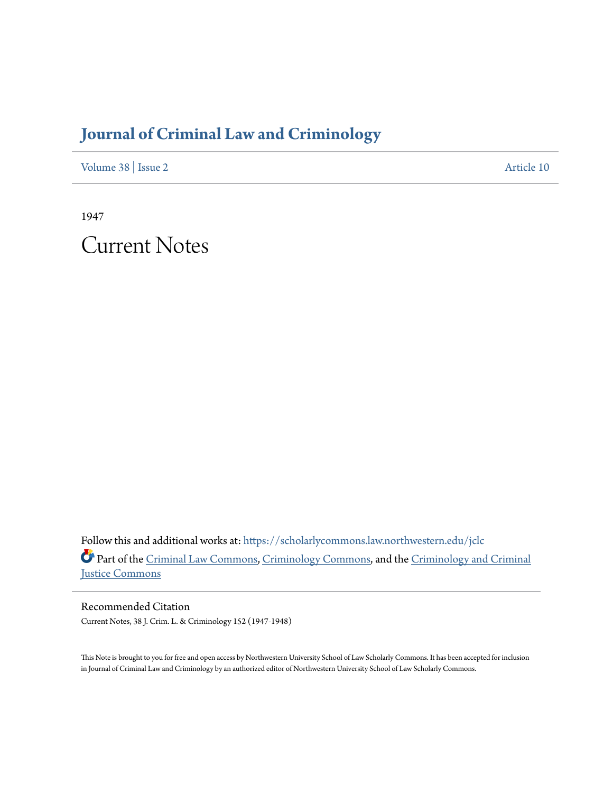## **[Journal of Criminal Law and Criminology](https://scholarlycommons.law.northwestern.edu/jclc?utm_source=scholarlycommons.law.northwestern.edu%2Fjclc%2Fvol38%2Fiss2%2F10&utm_medium=PDF&utm_campaign=PDFCoverPages)**

[Volume 38](https://scholarlycommons.law.northwestern.edu/jclc/vol38?utm_source=scholarlycommons.law.northwestern.edu%2Fjclc%2Fvol38%2Fiss2%2F10&utm_medium=PDF&utm_campaign=PDFCoverPages) | [Issue 2](https://scholarlycommons.law.northwestern.edu/jclc/vol38/iss2?utm_source=scholarlycommons.law.northwestern.edu%2Fjclc%2Fvol38%2Fiss2%2F10&utm_medium=PDF&utm_campaign=PDFCoverPages) [Article 10](https://scholarlycommons.law.northwestern.edu/jclc/vol38/iss2/10?utm_source=scholarlycommons.law.northwestern.edu%2Fjclc%2Fvol38%2Fiss2%2F10&utm_medium=PDF&utm_campaign=PDFCoverPages)

1947

Current Notes

Follow this and additional works at: [https://scholarlycommons.law.northwestern.edu/jclc](https://scholarlycommons.law.northwestern.edu/jclc?utm_source=scholarlycommons.law.northwestern.edu%2Fjclc%2Fvol38%2Fiss2%2F10&utm_medium=PDF&utm_campaign=PDFCoverPages) Part of the [Criminal Law Commons](http://network.bepress.com/hgg/discipline/912?utm_source=scholarlycommons.law.northwestern.edu%2Fjclc%2Fvol38%2Fiss2%2F10&utm_medium=PDF&utm_campaign=PDFCoverPages), [Criminology Commons](http://network.bepress.com/hgg/discipline/417?utm_source=scholarlycommons.law.northwestern.edu%2Fjclc%2Fvol38%2Fiss2%2F10&utm_medium=PDF&utm_campaign=PDFCoverPages), and the [Criminology and Criminal](http://network.bepress.com/hgg/discipline/367?utm_source=scholarlycommons.law.northwestern.edu%2Fjclc%2Fvol38%2Fiss2%2F10&utm_medium=PDF&utm_campaign=PDFCoverPages) [Justice Commons](http://network.bepress.com/hgg/discipline/367?utm_source=scholarlycommons.law.northwestern.edu%2Fjclc%2Fvol38%2Fiss2%2F10&utm_medium=PDF&utm_campaign=PDFCoverPages)

Recommended Citation Current Notes, 38 J. Crim. L. & Criminology 152 (1947-1948)

This Note is brought to you for free and open access by Northwestern University School of Law Scholarly Commons. It has been accepted for inclusion in Journal of Criminal Law and Criminology by an authorized editor of Northwestern University School of Law Scholarly Commons.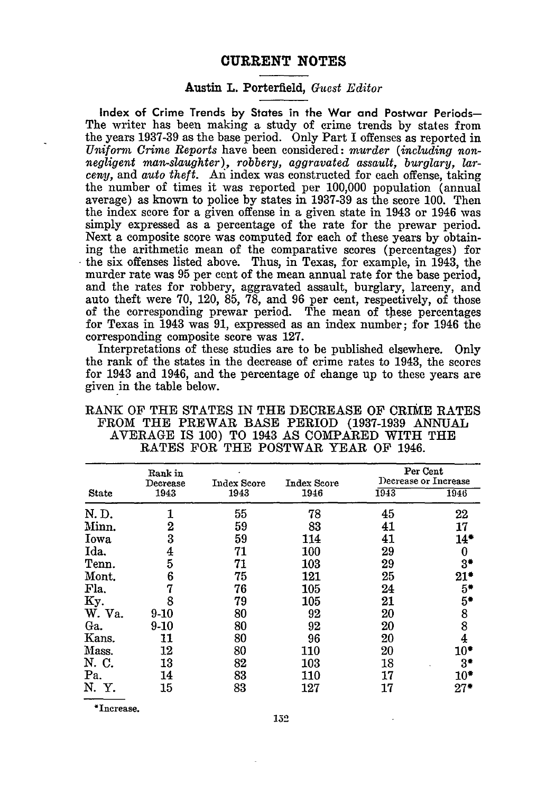## CURRENT **NOTES**

## Austin L. Porterfield, *Guest Editor*

**Index** of Crime Trends **by** States in the War and Postwar Periods-The writer has been making a study of crime trends by states from the years 1937-39 as the base period. Only Part I offenses as reported in *Uniform Crime Reports* have been considered: *murder (including nonnegligent man-slaughter), robbery, aggravated assault, burglary, larceny,* and *auto theft.* **An** index was constructed for each offense, taking the number of times it was reported per 100,000 population (annual average) as known to police by states in 1937-39 as the score 100. Then the index score for a given offense in a given state in 1943 or 1946 was simply expressed as a percentage of the rate for the prewar period. Next a composite score was computed for each of these years by obtaining the arithmetic mean of the comparative scores (percentages) for the six offenses listed above. Thus, in Texas, for example, in 1943, the murder rate was 95 per cent of the mean annual rate for the base period, and the rates for robbery, aggravated assault, burglary, larceny, and auto theft were 70, 120, 85, 78, and 96 per cent, respectively, of those of the corresponding prewar period. The mean of these percentages for Texas in 1943 was **91,** expressed as an index number; for 1946 the corresponding composite score was 127.

Interpretations of these studies are to be published elsewhere. Only the rank of the states in the decrease of crime rates to 1943, the scores for 1943 and 1946, and the percentage of change up to these years are given in the table below.

| <b>State</b> | Rank in<br>Decrease<br>1943 | Index Score<br>1943 | Index Score<br>1946 | Per Cent<br>Decrease or Increase |                                       |
|--------------|-----------------------------|---------------------|---------------------|----------------------------------|---------------------------------------|
|              |                             |                     |                     | 1943                             | 1946                                  |
| N.D.         |                             | 55                  | 78                  | 45                               | 22                                    |
| Minn.        | 2                           | 59                  | 83                  | 41                               | 17                                    |
| Iowa         | 3                           | 59                  | 114                 | 41                               | $14*$                                 |
| Ida.         | 4                           | 71                  | 100                 | 29                               | 0                                     |
| Tenn.        | 5                           | 71                  | 103                 | 29                               | 3*                                    |
| Mont.        | 6                           | 75                  | 121                 | 25                               | $21*$                                 |
| Fla.         | 7                           | 76                  | 105                 | 24                               | $5*$                                  |
| Ky.          | 8                           | 79                  | 105                 | 21                               | $5^*$                                 |
| W. Va.       | $9-10$                      | 80                  | 92                  | 20                               |                                       |
| Ga.          | 9-10                        | 80                  | 92                  | 20                               | $\begin{array}{c} 8 \\ 8 \end{array}$ |
| Kans.        | 11                          | 80                  | 96                  | 20                               | $\overline{4}$                        |
| Mass.        | 12                          | 80                  | 110                 | 20                               | $10^{\ast}$                           |
| N. C.        | 13                          | 82                  | 103                 | 18                               | $3*$                                  |
| Pa.          | 14                          | 83                  | 110                 | 17                               | $10*$                                 |
| N. Y.        | 15                          | 83                  | 127                 | 17                               | $27*$                                 |

RANK OF THE STATES IN THE DECREASE OF CRIME RATES FROM THE PREWAR BASE PERIOD (1937-1939 ANNUAL AVERAGE IS 100) TO 1943 AS COMPARED WITH THE RATES FOR THE POSTWAR YEAR OF 1946.

\*Increase.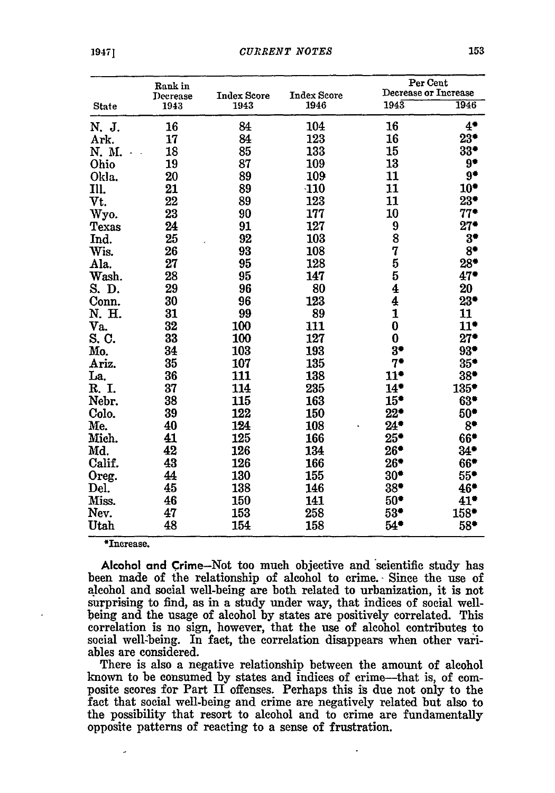|              | Rank in          |                            |                            | Per Cent<br>Decrease or Increase |       |
|--------------|------------------|----------------------------|----------------------------|----------------------------------|-------|
| <b>State</b> | Decrease<br>1943 | <b>Index Score</b><br>1943 | <b>Index Score</b><br>1946 | $194\overline{3}$                | 1946  |
|              |                  |                            |                            |                                  |       |
| N. J.        | 16               | 84                         | 104                        | 16                               | $4*$  |
| Ark.         | 17               | 84                         | 123                        | 16                               | $23*$ |
| N. M.        | 18               | 85                         | 133                        | 15                               | $33*$ |
| Ohio         | 19               | 87                         | 109                        | 13                               | 9*    |
| Okla.        | 20               | 89                         | 109                        | 11                               | 9*    |
| Ill.         | 21               | 89                         | $-110$                     | 11                               | $10*$ |
| Vt.          | 22               | 89                         | 123                        | 11                               | $23*$ |
| Wyo.         | 23               | 90                         | 177                        | 10                               | $77*$ |
| Texas        | 24               | 91                         | 127                        | 9                                | $27*$ |
| Ind.         | 25               | 92                         | 103                        | 8                                | $3*$  |
| Wis.         | 26               | 93                         | 108                        | 7                                | $8*$  |
| Ala.         | 27               | 95                         | 128                        | 5                                | $28*$ |
| Wash.        | 28               | 95                         | 147                        | 5                                | $47*$ |
| S. D.        | 29               | 96                         | 80                         | $\overline{\textbf{4}}$          | 20    |
| Conn.        | 30               | 96                         | 123                        | $\overline{4}$                   | $23*$ |
| N. H.        | 31               | 99                         | 89                         | $\overline{\mathbf{1}}$          | 11    |
| Va.          | 32               | 100                        | 111                        | $\bf{0}$                         | $11*$ |
| S. C.        | 33               | 100                        | 127                        | $\bf{0}$                         | $27*$ |
| Mo.          | 34               | 103                        | 193                        | $3*$                             | 93*   |
| Ariz.        | 35               | 107                        | 135                        | $7*$                             | $35*$ |
| La.          | 36               | 111                        | 138                        | $11*$                            | $38*$ |
| R. I.        | 37               | 114                        | 235                        | $14*$                            | 135*  |
| Nebr.        | 38               | 115                        | 163                        | $15*$                            | $63*$ |
| Colo.        | 39               | 122                        | 150                        | $22^{\bullet}$                   | $50*$ |
| Me.          | 40               | 124                        | 108                        | $24*$                            | $8^*$ |
| Mich.        | 41               | 125                        | 166                        | $25*$                            | 66*   |
| Md.          | 42               | 126                        | 134                        | $26*$                            | $34*$ |
| Calif.       | 43               | 126                        | 166                        | $26*$                            | 66*   |
| Oreg.        | 44               | 130                        | 155                        | $30*$                            | $55*$ |
| Del.         | 45               | 138                        | 146                        | $38*$                            | 46*   |
| Miss.        | 46               | 150                        | 141                        | $50*$                            | 41*   |
| Nev.         | 47               | 153                        | 258                        | $53*$                            | 158*  |
| Utah         | 48               | 154                        | 158                        | $54*$                            | $58*$ |

\*Increase.

Alcohol and Crime-Not too much objective and scientific study has been made of the relationship of alcohol to crime. Since the use of alcohol and social well-being are both related to urbanization, it is not surprising to find, as in a study under way, that indices of social wellbeing and the usage of alcohol **by** states are positively correlated. This correlation is no sign, however, that the use of alcohol contributes to social well-being. In fact, the correlation disappears when other variables are considered.

There is also a negative relationship between the amount of alcohol known to be consumed **by** states and indices of crime--that is, of composite scores for Part **II** offenses. Perhaps this is due not only to the fact that social well-being and crime are negatively related but also to the possibility that resort to alcohol and to crime are fundamentally opposite patterns of reacting to a sense of frustration.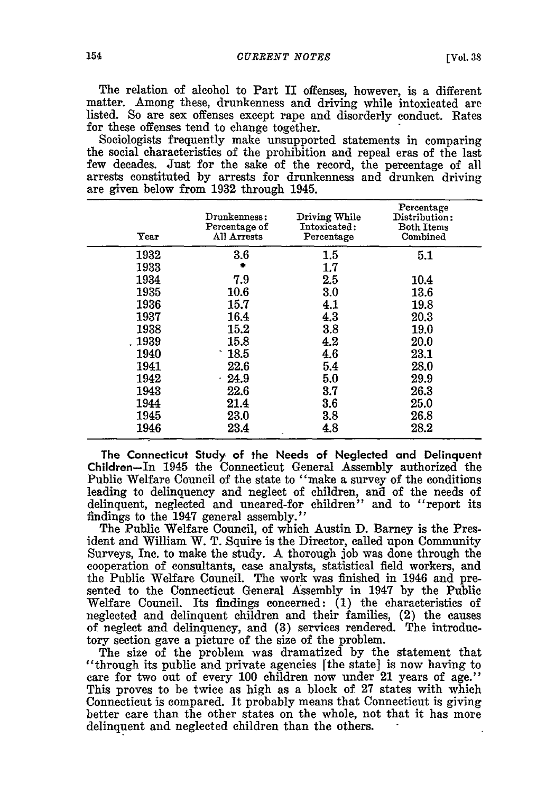The relation of alcohol to Part II offenses, however, is a different matter. Among these, drunkenness and driving while intoxicated are listed. So are sex offenses except rape and disorderly conduct. Rates for these offenses tend to change together.

Sociologists frequently make unsupported statements in comparing the social characteristics of the prohibition and repeal eras of the last few decades. Just for the sake of the record, the percentage of all arrests constituted by arrests for drunkenness and drunken driving are given below from 1932 through 1945.

| Year   | Drunkenness:<br>Percentage of<br>All Arrests | Driving While<br>Intoxicated:<br>Percentage | Percentage<br>Distribution:<br><b>Both Items</b><br>Combined |
|--------|----------------------------------------------|---------------------------------------------|--------------------------------------------------------------|
| 1932   | 3.6                                          | $1.5\,$                                     | 5.1                                                          |
| 1933   |                                              | 1.7                                         |                                                              |
| 1934   | 7.9                                          | $2.5\,$                                     | 10.4                                                         |
| 1935   | 10.6                                         | 3.0                                         | 13.6                                                         |
| 1936   | 15.7                                         | 4.1                                         | 19.8                                                         |
| 1937   | 16.4                                         | 4.3                                         | 20.3                                                         |
| 1938   | 15.2                                         | 3.8                                         | 19.0                                                         |
| . 1939 | 15.8                                         | 4.2                                         | 20.0                                                         |
| 1940   | $\cdot$ 18.5                                 | 4.6                                         | 23.1                                                         |
| 1941   | 22.6                                         | 5.4                                         | 28.0                                                         |
| 1942   | $-24.9$                                      | 5.0                                         | 29.9                                                         |
| 1943   | 22.6                                         | 3.7                                         | 26.3                                                         |
| 1944   | 21.4                                         | 3.6                                         | 25.0                                                         |
| 1945   | 23.0                                         | 3.8                                         | 26.8                                                         |
| 1946   | 23.4                                         | 4.8                                         | 28.2                                                         |

**The Connecticut Study of the Needs of Neglected and Delinquent Children-In** 1945 **the** Connecticut General Assembly authorized the Public Welfare Council of the state to "make a survey of the conditions leading to delinquency and neglect of children, and of the needs of delinquent, neglected and uncared-for children" and to "report its findings to the 1947 general assembly."

The Public Welfare Council, of which Austin D. Barney is the President and William W. T. Squire is the Director, called upon Community Surveys, Inc. to make the study. A thorough **job** was done through the cooperation of consultants, case analysts, statistical field workers, and the Public Welfare Council. The work was finished in 1946 and presented to the Connecticut General Assembly in 1947 by the Public Welfare Council. Its findings concerned: (1) the characteristics of neglected and delinquent children and their families, (2) the causes of neglect and delinquency, and **(3)** services rendered. The introductory section gave a picture of the size of the problem.

The size of the problem was dramatized by the statement that "through its public and private agencies [the state] is now having to care for two out of every 100 children now under 21 years of age." This proves to be twice as high as a block of 27 states with which Connecticut is compared. It probably means that Connecticut is giving better care than the other states on the whole, not that it has more delinquent and neglected children than the others.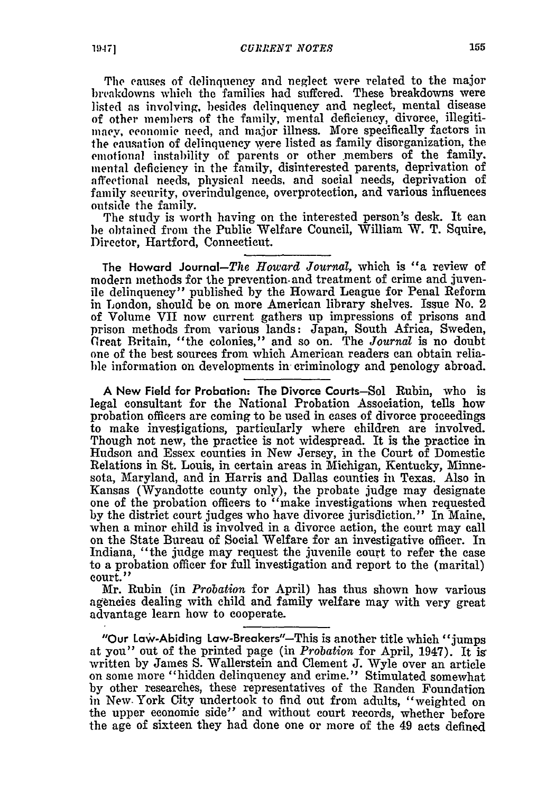The causes of delinquency and neglect were related to the major breakdowns which the families had suffered. These breakdowns were listed as involving, besides delinquency and neglect, mental disease of other members of the family, mental deficiency, divorce, illegitimacv, economic need, and major illness. More specifically factors in the causation of delinquency were listed as family disorganization, the emotional instability of parents or other members of the family. mental deficiency in the family, disinterested parents, deprivation of affectional needs, physical needs, and social needs, deprivation of family security, overindulgence, overprotection, and various influences outside the family.

The study is worth having on the interested person's desk. It can be obtained from the Public Welfare Council, William W. T. Squire, Director, Hartford, Connecticut.

**The** Howard Journal-The *Howard Journal,* which is "a review of modern methods for the prevention, and treatment of crime and juvenile delinquency" published by the Howard League for Penal Reform in London, should be on more American library shelves. Issue No. 2 of Volume VII now current gathers up impressions of prisons and prison methods from various lands: Japan, South Africa, Sweden, Great Britain, "the colonies," and so on. The *Journal* is no doubt one of the best sources from which American readers can obtain reliable information on developments in- criminology and penology abroad.

**A** New Field for Probation: The Divorce Courts-Sol Rubin, who is legal consultant for the National Probation Association, tells how probation officers are coming to be used in cases of divorce proceedings to make investigations, particularly where children are involved. Though not new, the practice is not widespread. It is the practice in Hudson and Essex counties in New Jersey, in the Court of Domestic Relations in St. Louis, in certain areas in Michigan, Kentucky, Minnesota, Maryland, and in Harris and Dallas counties in Texas. Also in Kansas (Wyandotte county only), the probate judge may designate one of the probation officers to "make investigations when requested by the district court judges who have divorce jurisdiction." In Maine, when a minor child is involved in a divorce action, the court may call on the State Bureau of Social Welfare for an investigative officer. In Indiana, "the judge may request the juvenile court to refer the case to a probation officer for full investigation and report to the (marital) court."

Mr. Rubin (in *Probation* for April) has thus shown how various agencies dealing with child and family welfare may with very great advantage learn how to cooperate.

"Our Law-Abiding Law-Breakers"-This is another title which "jumps at you" out of the printed page (in *Probation* for April, 1947). It ig written by James S. Wallerstein and Clement J. Wyle over an article on some more "hidden delinquency and crime." Stimulated somewhat by other researches, these representatives of the Randen Foundation in New. York City undertook to find out from adults, "weighted on the upper economic side" and without court records, whether before the age of sixteen they had done one or more of the 49 acts defined